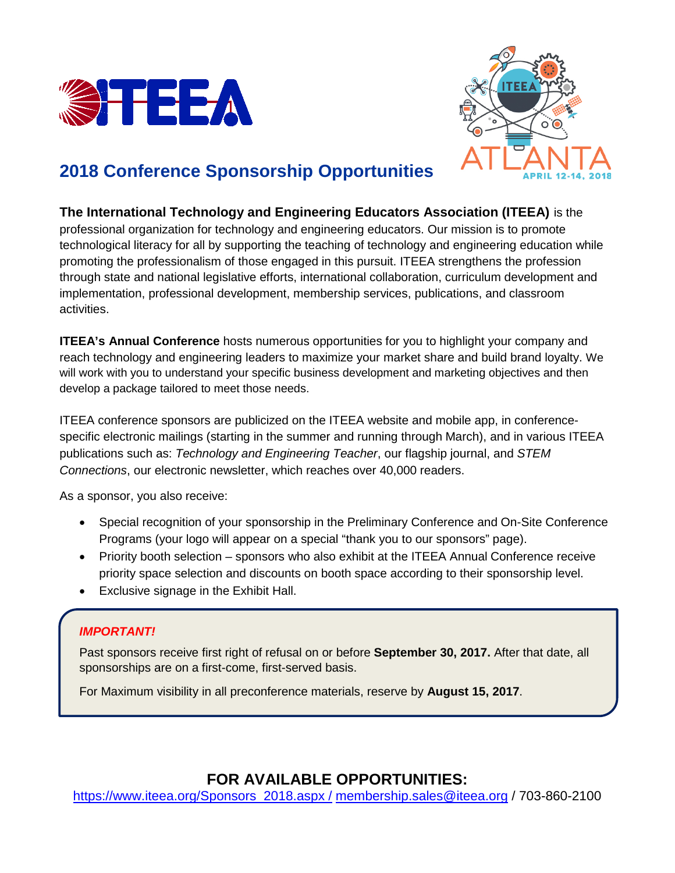



# **2018 Conference Sponsorship Opportunities**

**The International Technology and Engineering Educators Association (ITEEA)** is the professional organization for technology and engineering educators. Our mission is to promote technological literacy for all by supporting the teaching of technology and engineering education while promoting the professionalism of those engaged in this pursuit. ITEEA strengthens the profession through state and national legislative efforts, international collaboration, curriculum development and implementation, professional development, membership services, publications, and classroom activities.

**ITEEA's Annual Conference** hosts numerous opportunities for you to highlight your company and reach technology and engineering leaders to maximize your market share and build brand loyalty. We will work with you to understand your specific business development and marketing objectives and then develop a package tailored to meet those needs.

ITEEA conference sponsors are publicized on the ITEEA website and mobile app, in conferencespecific electronic mailings (starting in the summer and running through March), and in various ITEEA publications such as: *Technology and Engineering Teacher*, our flagship journal, and *STEM Connections*, our electronic newsletter, which reaches over 40,000 readers.

As a sponsor, you also receive:

- Special recognition of your sponsorship in the Preliminary Conference and On-Site Conference Programs (your logo will appear on a special "thank you to our sponsors" page).
- Priority booth selection sponsors who also exhibit at the ITEEA Annual Conference receive priority space selection and discounts on booth space according to their sponsorship level.
- Exclusive signage in the Exhibit Hall.

## *IMPORTANT!*

Past sponsors receive first right of refusal on or before **September 30, 2017.** After that date, all sponsorships are on a first-come, first-served basis.

For Maximum visibility in all preconference materials, reserve by **August 15, 2017**.

## **FOR AVAILABLE OPPORTUNITIES:**

[https://www.iteea.org/Sponsors\\_2018.aspx /](https://www.iteea.org/Sponsors_2018.aspx%20/) [membership.sales@iteea.org](mailto:membership.sales@iteea.org) / 703-860-2100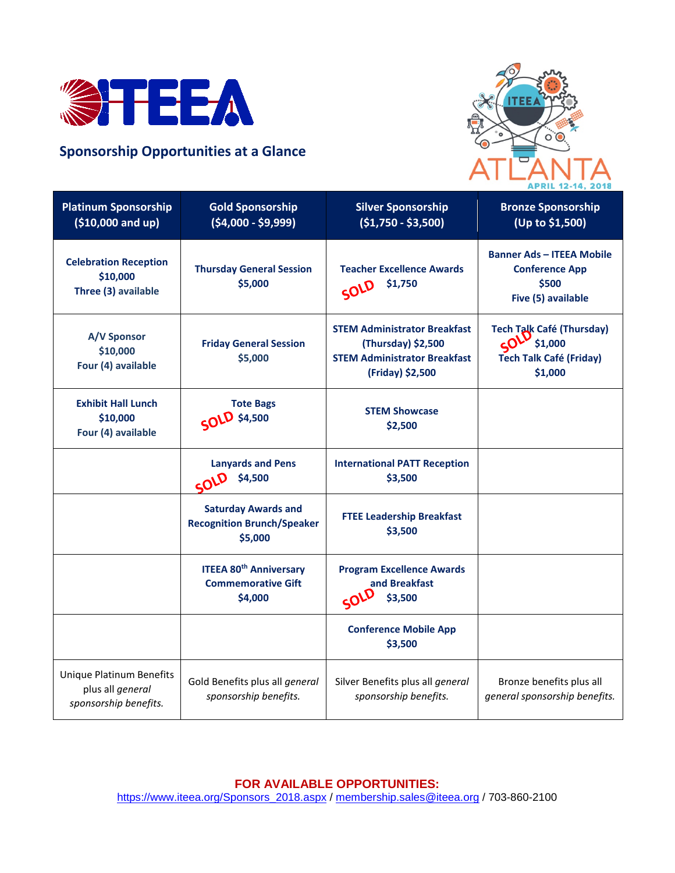

## **Sponsorship Opportunities at a Glance**



| <b>Platinum Sponsorship</b><br>$( $10,000$ and up)                           | <b>Gold Sponsorship</b><br>$(54,000 - 59,999)$                             | <b>Silver Sponsorship</b><br>$(51,750 - 53,500)$                                                                     | <b>Bronze Sponsorship</b><br>(Up to \$1,500)                                             |
|------------------------------------------------------------------------------|----------------------------------------------------------------------------|----------------------------------------------------------------------------------------------------------------------|------------------------------------------------------------------------------------------|
| <b>Celebration Reception</b><br>\$10,000<br>Three (3) available              | <b>Thursday General Session</b><br>\$5,000                                 | <b>Teacher Excellence Awards</b><br>\$1,750<br>SOLD                                                                  | <b>Banner Ads - ITEEA Mobile</b><br><b>Conference App</b><br>\$500<br>Five (5) available |
| A/V Sponsor<br>\$10,000<br>Four (4) available                                | <b>Friday General Session</b><br>\$5,000                                   | <b>STEM Administrator Breakfast</b><br>(Thursday) \$2,500<br><b>STEM Administrator Breakfast</b><br>(Friday) \$2,500 | <b>Tech Talk Café (Thursday)</b><br>51,000<br><b>Tech Talk Café (Friday)</b><br>\$1,000  |
| <b>Exhibit Hall Lunch</b><br>\$10,000<br>Four (4) available                  | <b>Tote Bags</b><br><b>SOLD</b> \$4,500                                    | <b>STEM Showcase</b><br>\$2,500                                                                                      |                                                                                          |
|                                                                              | <b>Lanyards and Pens</b><br>\$4,500<br>SOLD                                | <b>International PATT Reception</b><br>\$3,500                                                                       |                                                                                          |
|                                                                              | <b>Saturday Awards and</b><br><b>Recognition Brunch/Speaker</b><br>\$5,000 | <b>FTEE Leadership Breakfast</b><br>\$3,500                                                                          |                                                                                          |
|                                                                              | <b>ITEEA 80th Anniversary</b><br><b>Commemorative Gift</b><br>\$4,000      | <b>Program Excellence Awards</b><br>and Breakfast<br>SOLD<br>\$3,500                                                 |                                                                                          |
|                                                                              |                                                                            | <b>Conference Mobile App</b><br>\$3,500                                                                              |                                                                                          |
| <b>Unique Platinum Benefits</b><br>plus all general<br>sponsorship benefits. | Gold Benefits plus all general<br>sponsorship benefits.                    | Silver Benefits plus all general<br>sponsorship benefits.                                                            | Bronze benefits plus all<br>general sponsorship benefits.                                |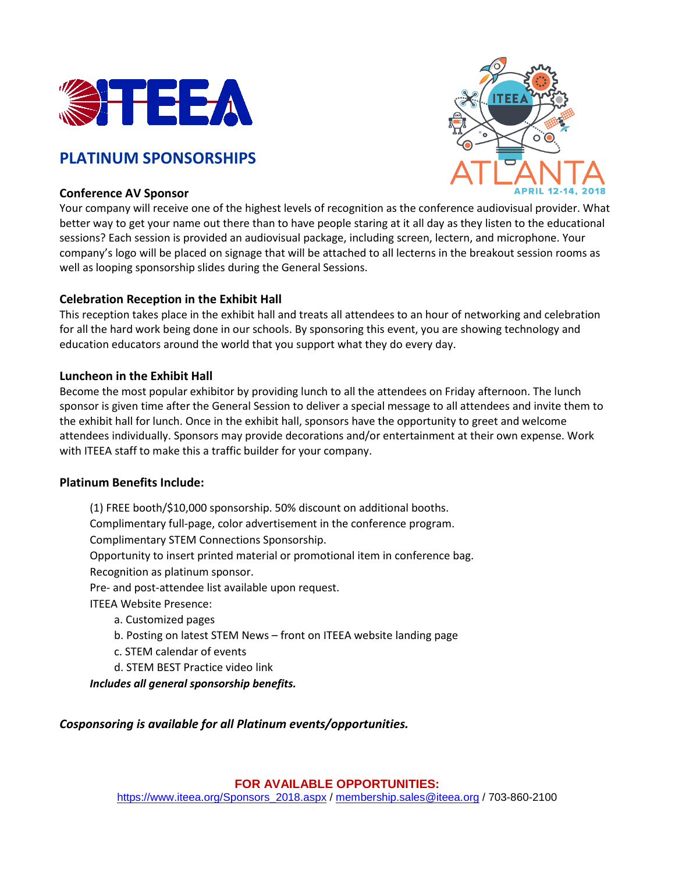

## **PLATINUM SPONSORSHIPS**



## **Conference AV Sponsor**

Your company will receive one of the highest levels of recognition as the conference audiovisual provider. What better way to get your name out there than to have people staring at it all day as they listen to the educational sessions? Each session is provided an audiovisual package, including screen, lectern, and microphone. Your company's logo will be placed on signage that will be attached to all lecterns in the breakout session rooms as well as looping sponsorship slides during the General Sessions.

## **Celebration Reception in the Exhibit Hall**

This reception takes place in the exhibit hall and treats all attendees to an hour of networking and celebration for all the hard work being done in our schools. By sponsoring this event, you are showing technology and education educators around the world that you support what they do every day.

## **Luncheon in the Exhibit Hall**

Become the most popular exhibitor by providing lunch to all the attendees on Friday afternoon. The lunch sponsor is given time after the General Session to deliver a special message to all attendees and invite them to the exhibit hall for lunch. Once in the exhibit hall, sponsors have the opportunity to greet and welcome attendees individually. Sponsors may provide decorations and/or entertainment at their own expense. Work with ITEEA staff to make this a traffic builder for your company.

### **Platinum Benefits Include:**

(1) FREE booth/\$10,000 sponsorship. 50% discount on additional booths. Complimentary full-page, color advertisement in the conference program. Complimentary STEM Connections Sponsorship. Opportunity to insert printed material or promotional item in conference bag. Recognition as platinum sponsor. Pre- and post-attendee list available upon request. ITEEA Website Presence: a. Customized pages b. Posting on latest STEM News – front on ITEEA website landing page c. STEM calendar of events d. STEM BEST Practice video link

*Includes all general sponsorship benefits.*

*Cosponsoring is available for all Platinum events/opportunities.*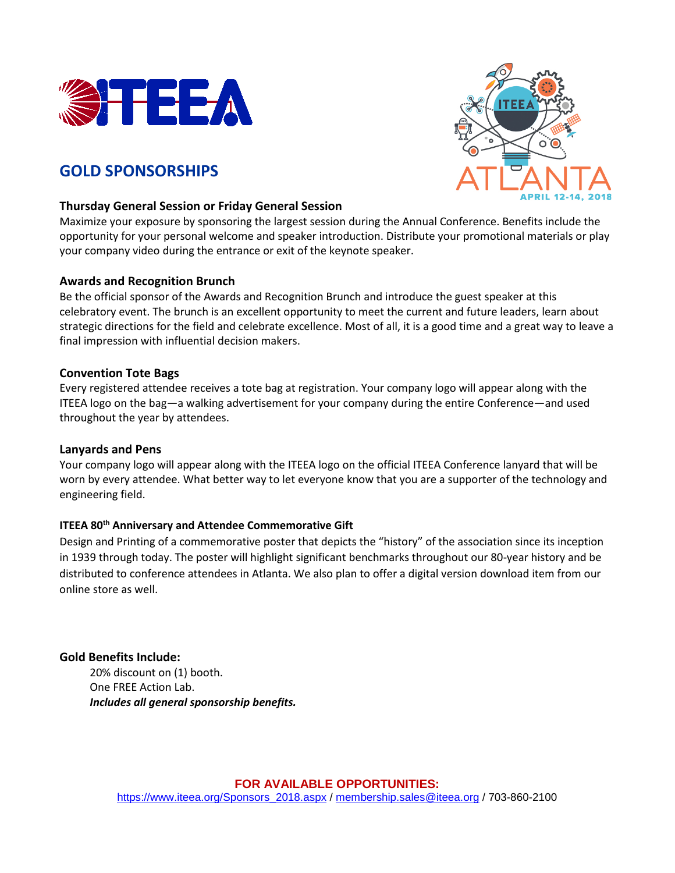

## **GOLD SPONSORSHIPS**



### **Thursday General Session or Friday General Session**

Maximize your exposure by sponsoring the largest session during the Annual Conference. Benefits include the opportunity for your personal welcome and speaker introduction. Distribute your promotional materials or play your company video during the entrance or exit of the keynote speaker.

### **Awards and Recognition Brunch**

Be the official sponsor of the Awards and Recognition Brunch and introduce the guest speaker at this celebratory event. The brunch is an excellent opportunity to meet the current and future leaders, learn about strategic directions for the field and celebrate excellence. Most of all, it is a good time and a great way to leave a final impression with influential decision makers.

## **Convention Tote Bags**

Every registered attendee receives a tote bag at registration. Your company logo will appear along with the ITEEA logo on the bag—a walking advertisement for your company during the entire Conference—and used throughout the year by attendees.

## **Lanyards and Pens**

Your company logo will appear along with the ITEEA logo on the official ITEEA Conference lanyard that will be worn by every attendee. What better way to let everyone know that you are a supporter of the technology and engineering field.

## **ITEEA 80<sup>th</sup> Anniversary and Attendee Commemorative Gift**

Design and Printing of a commemorative poster that depicts the "history" of the association since its inception in 1939 through today. The poster will highlight significant benchmarks throughout our 80-year history and be distributed to conference attendees in Atlanta. We also plan to offer a digital version download item from our online store as well.

## **Gold Benefits Include:**

20% discount on (1) booth. One FREE Action Lab. *Includes all general sponsorship benefits.*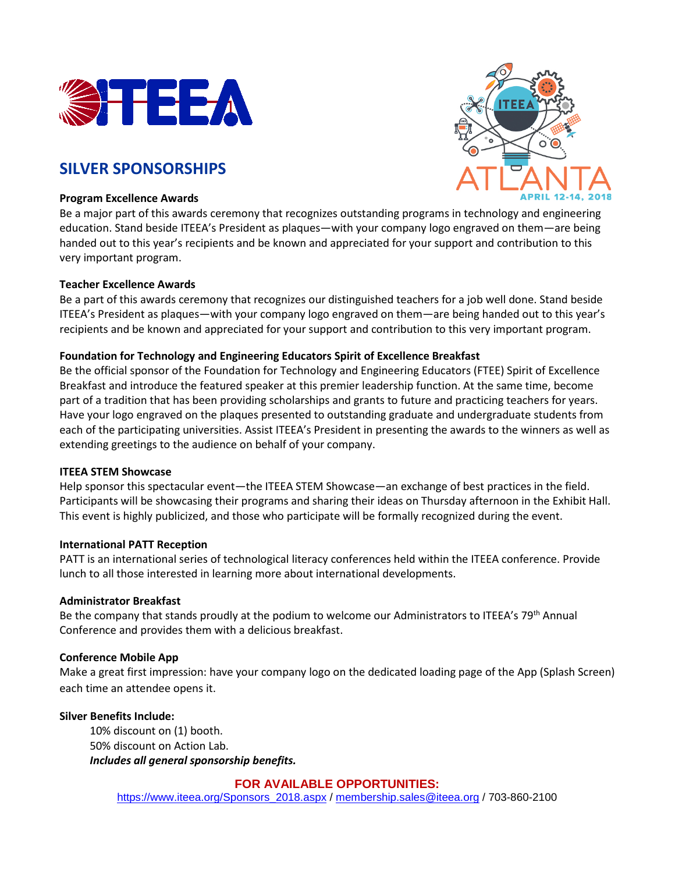

## **SILVER SPONSORSHIPS**

#### **Program Excellence Awards**



Be a major part of this awards ceremony that recognizes outstanding programs in technology and engineering education. Stand beside ITEEA's President as plaques—with your company logo engraved on them—are being handed out to this year's recipients and be known and appreciated for your support and contribution to this very important program.

### **Teacher Excellence Awards**

Be a part of this awards ceremony that recognizes our distinguished teachers for a job well done. Stand beside ITEEA's President as plaques—with your company logo engraved on them—are being handed out to this year's recipients and be known and appreciated for your support and contribution to this very important program.

#### **Foundation for Technology and Engineering Educators Spirit of Excellence Breakfast**

Be the official sponsor of the Foundation for Technology and Engineering Educators (FTEE) Spirit of Excellence Breakfast and introduce the featured speaker at this premier leadership function. At the same time, become part of a tradition that has been providing scholarships and grants to future and practicing teachers for years. Have your logo engraved on the plaques presented to outstanding graduate and undergraduate students from each of the participating universities. Assist ITEEA's President in presenting the awards to the winners as well as extending greetings to the audience on behalf of your company.

#### **ITEEA STEM Showcase**

Help sponsor this spectacular event—the ITEEA STEM Showcase—an exchange of best practices in the field. Participants will be showcasing their programs and sharing their ideas on Thursday afternoon in the Exhibit Hall. This event is highly publicized, and those who participate will be formally recognized during the event.

#### **International PATT Reception**

PATT is an international series of technological literacy conferences held within the ITEEA conference. Provide lunch to all those interested in learning more about international developments.

#### **Administrator Breakfast**

Be the company that stands proudly at the podium to welcome our Administrators to ITEEA's 79<sup>th</sup> Annual Conference and provides them with a delicious breakfast.

#### **Conference Mobile App**

Make a great first impression: have your company logo on the dedicated loading page of the App (Splash Screen) each time an attendee opens it.

#### **Silver Benefits Include:**

10% discount on (1) booth. 50% discount on Action Lab. *Includes all general sponsorship benefits.*

### **FOR AVAILABLE OPPORTUNITIES:**

[https://www.iteea.org/Sponsors\\_2018.aspx](https://www.iteea.org/Sponsors_2018.aspx%20/) / [membership.sales@iteea.org](mailto:membership.sales@iteea.org) / 703-860-2100